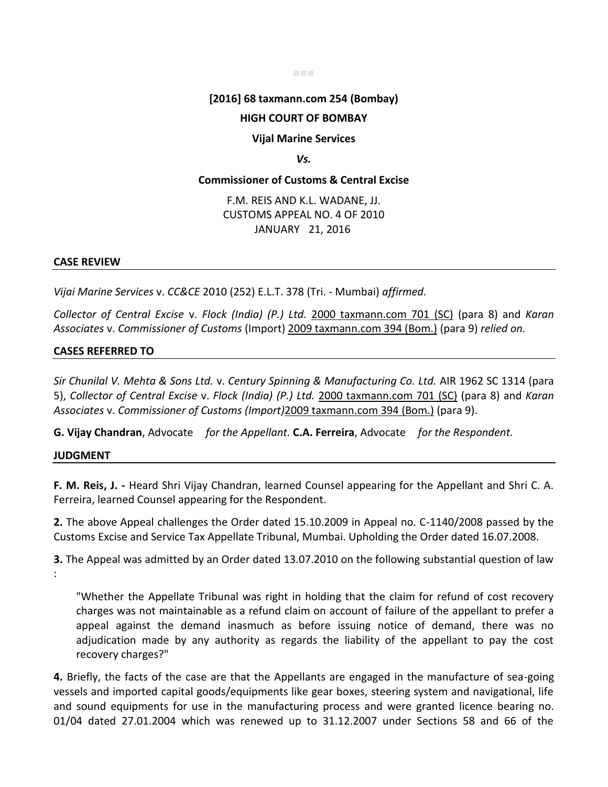#### ■■■

## **[2016] 68 taxmann.com 254 (Bombay)**

# **HIGH COURT OF BOMBAY**

## **Vijal Marine Services**

### *Vs.*

## **Commissioner of Customs & Central Excise**

F.M. REIS AND K.L. WADANE, JJ. CUSTOMS APPEAL NO. 4 OF 2010 JANUARY 21, 2016

## **CASE REVIEW**

*Vijai Marine Services* v. *CC&CE* 2010 (252) E.L.T. 378 (Tri. - Mumbai) *affirmed.*

*Collector of Central Excise* v. *Flock (India) (P.) Ltd.* 2000 taxmann.com 701 (SC) (para 8) and *Karan Associates* v. *Commissioner of Customs* (Import) 2009 taxmann.com 394 (Bom.) (para 9) *relied on.*

## **CASES REFERRED TO**

*Sir Chunilal V. Mehta & Sons Ltd.* v. *Century Spinning & Manufacturing Co. Ltd.* AIR 1962 SC 1314 (para 5), *Collector of Central Excise* v. *Flock (India) (P.) Ltd.* 2000 taxmann.com 701 (SC) (para 8) and *Karan Associates* v. *Commissioner of Customs (Import)*2009 taxmann.com 394 (Bom.) (para 9).

**G. Vijay Chandran**, Advocate *for the Appellant.* **C.A. Ferreira**, Advocate *for the Respondent.*

#### **JUDGMENT**

**F. M. Reis, J. -** Heard Shri Vijay Chandran, learned Counsel appearing for the Appellant and Shri C. A. Ferreira, learned Counsel appearing for the Respondent.

**2.** The above Appeal challenges the Order dated 15.10.2009 in Appeal no. C-1140/2008 passed by the Customs Excise and Service Tax Appellate Tribunal, Mumbai. Upholding the Order dated 16.07.2008.

**3.** The Appeal was admitted by an Order dated 13.07.2010 on the following substantial question of law :

"Whether the Appellate Tribunal was right in holding that the claim for refund of cost recovery charges was not maintainable as a refund claim on account of failure of the appellant to prefer a appeal against the demand inasmuch as before issuing notice of demand, there was no adjudication made by any authority as regards the liability of the appellant to pay the cost recovery charges?"

**4.** Briefly, the facts of the case are that the Appellants are engaged in the manufacture of sea-going vessels and imported capital goods/equipments like gear boxes, steering system and navigational, life and sound equipments for use in the manufacturing process and were granted licence bearing no. 01/04 dated 27.01.2004 which was renewed up to 31.12.2007 under Sections 58 and 66 of the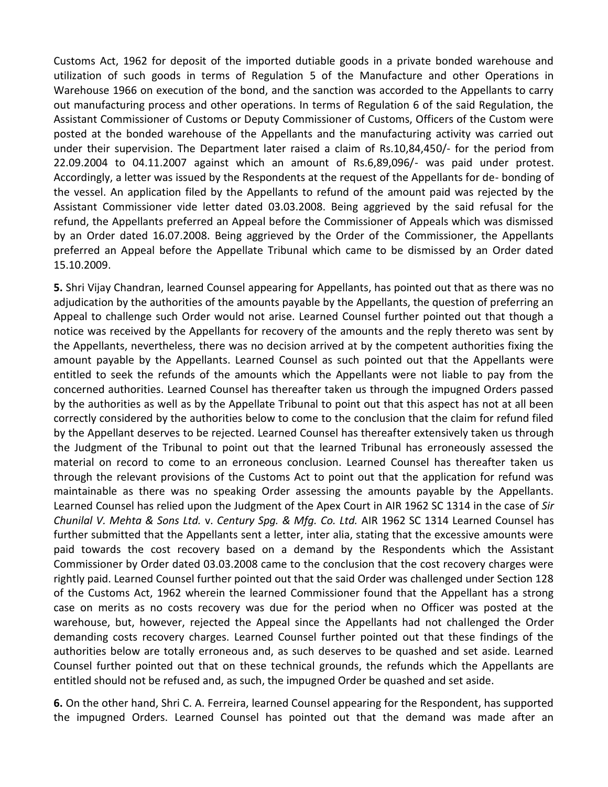Customs Act, 1962 for deposit of the imported dutiable goods in a private bonded warehouse and utilization of such goods in terms of Regulation 5 of the Manufacture and other Operations in Warehouse 1966 on execution of the bond, and the sanction was accorded to the Appellants to carry out manufacturing process and other operations. In terms of Regulation 6 of the said Regulation, the Assistant Commissioner of Customs or Deputy Commissioner of Customs, Officers of the Custom were posted at the bonded warehouse of the Appellants and the manufacturing activity was carried out under their supervision. The Department later raised a claim of Rs.10,84,450/- for the period from 22.09.2004 to 04.11.2007 against which an amount of Rs.6,89,096/- was paid under protest. Accordingly, a letter was issued by the Respondents at the request of the Appellants for de- bonding of the vessel. An application filed by the Appellants to refund of the amount paid was rejected by the Assistant Commissioner vide letter dated 03.03.2008. Being aggrieved by the said refusal for the refund, the Appellants preferred an Appeal before the Commissioner of Appeals which was dismissed by an Order dated 16.07.2008. Being aggrieved by the Order of the Commissioner, the Appellants preferred an Appeal before the Appellate Tribunal which came to be dismissed by an Order dated 15.10.2009.

**5.** Shri Vijay Chandran, learned Counsel appearing for Appellants, has pointed out that as there was no adjudication by the authorities of the amounts payable by the Appellants, the question of preferring an Appeal to challenge such Order would not arise. Learned Counsel further pointed out that though a notice was received by the Appellants for recovery of the amounts and the reply thereto was sent by the Appellants, nevertheless, there was no decision arrived at by the competent authorities fixing the amount payable by the Appellants. Learned Counsel as such pointed out that the Appellants were entitled to seek the refunds of the amounts which the Appellants were not liable to pay from the concerned authorities. Learned Counsel has thereafter taken us through the impugned Orders passed by the authorities as well as by the Appellate Tribunal to point out that this aspect has not at all been correctly considered by the authorities below to come to the conclusion that the claim for refund filed by the Appellant deserves to be rejected. Learned Counsel has thereafter extensively taken us through the Judgment of the Tribunal to point out that the learned Tribunal has erroneously assessed the material on record to come to an erroneous conclusion. Learned Counsel has thereafter taken us through the relevant provisions of the Customs Act to point out that the application for refund was maintainable as there was no speaking Order assessing the amounts payable by the Appellants. Learned Counsel has relied upon the Judgment of the Apex Court in AIR 1962 SC 1314 in the case of *Sir Chunilal V. Mehta & Sons Ltd.* v. *Century Spg. & Mfg. Co. Ltd.* AIR 1962 SC 1314 Learned Counsel has further submitted that the Appellants sent a letter, inter alia, stating that the excessive amounts were paid towards the cost recovery based on a demand by the Respondents which the Assistant Commissioner by Order dated 03.03.2008 came to the conclusion that the cost recovery charges were rightly paid. Learned Counsel further pointed out that the said Order was challenged under Section 128 of the Customs Act, 1962 wherein the learned Commissioner found that the Appellant has a strong case on merits as no costs recovery was due for the period when no Officer was posted at the warehouse, but, however, rejected the Appeal since the Appellants had not challenged the Order demanding costs recovery charges. Learned Counsel further pointed out that these findings of the authorities below are totally erroneous and, as such deserves to be quashed and set aside. Learned Counsel further pointed out that on these technical grounds, the refunds which the Appellants are entitled should not be refused and, as such, the impugned Order be quashed and set aside.

**6.** On the other hand, Shri C. A. Ferreira, learned Counsel appearing for the Respondent, has supported the impugned Orders. Learned Counsel has pointed out that the demand was made after an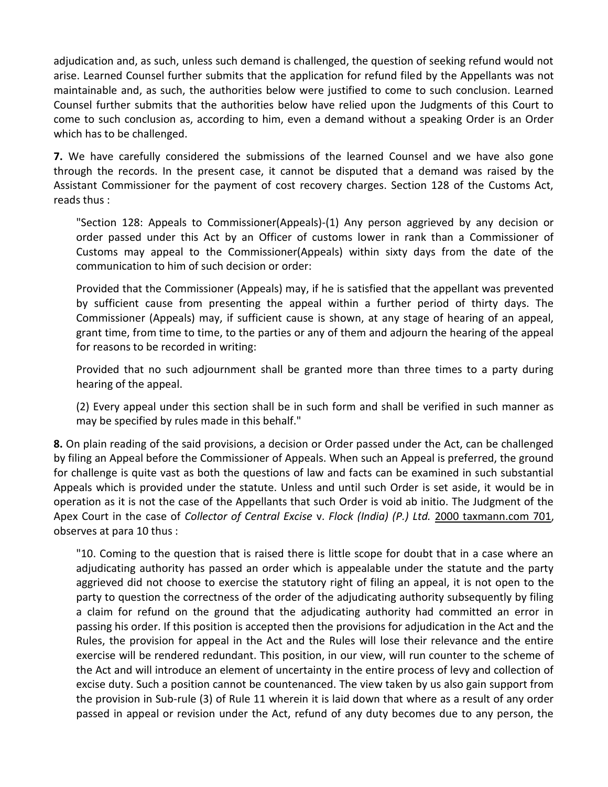adjudication and, as such, unless such demand is challenged, the question of seeking refund would not arise. Learned Counsel further submits that the application for refund filed by the Appellants was not maintainable and, as such, the authorities below were justified to come to such conclusion. Learned Counsel further submits that the authorities below have relied upon the Judgments of this Court to come to such conclusion as, according to him, even a demand without a speaking Order is an Order which has to be challenged.

**7.** We have carefully considered the submissions of the learned Counsel and we have also gone through the records. In the present case, it cannot be disputed that a demand was raised by the Assistant Commissioner for the payment of cost recovery charges. Section 128 of the Customs Act, reads thus :

"Section 128: Appeals to Commissioner(Appeals)-(1) Any person aggrieved by any decision or order passed under this Act by an Officer of customs lower in rank than a Commissioner of Customs may appeal to the Commissioner(Appeals) within sixty days from the date of the communication to him of such decision or order:

Provided that the Commissioner (Appeals) may, if he is satisfied that the appellant was prevented by sufficient cause from presenting the appeal within a further period of thirty days. The Commissioner (Appeals) may, if sufficient cause is shown, at any stage of hearing of an appeal, grant time, from time to time, to the parties or any of them and adjourn the hearing of the appeal for reasons to be recorded in writing:

Provided that no such adjournment shall be granted more than three times to a party during hearing of the appeal.

(2) Every appeal under this section shall be in such form and shall be verified in such manner as may be specified by rules made in this behalf."

**8.** On plain reading of the said provisions, a decision or Order passed under the Act, can be challenged by filing an Appeal before the Commissioner of Appeals. When such an Appeal is preferred, the ground for challenge is quite vast as both the questions of law and facts can be examined in such substantial Appeals which is provided under the statute. Unless and until such Order is set aside, it would be in operation as it is not the case of the Appellants that such Order is void ab initio. The Judgment of the Apex Court in the case of *Collector of Central Excise* v. *Flock (India) (P.) Ltd.* 2000 taxmann.com 701, observes at para 10 thus :

"10. Coming to the question that is raised there is little scope for doubt that in a case where an adjudicating authority has passed an order which is appealable under the statute and the party aggrieved did not choose to exercise the statutory right of filing an appeal, it is not open to the party to question the correctness of the order of the adjudicating authority subsequently by filing a claim for refund on the ground that the adjudicating authority had committed an error in passing his order. If this position is accepted then the provisions for adjudication in the Act and the Rules, the provision for appeal in the Act and the Rules will lose their relevance and the entire exercise will be rendered redundant. This position, in our view, will run counter to the scheme of the Act and will introduce an element of uncertainty in the entire process of levy and collection of excise duty. Such a position cannot be countenanced. The view taken by us also gain support from the provision in Sub-rule (3) of Rule 11 wherein it is laid down that where as a result of any order passed in appeal or revision under the Act, refund of any duty becomes due to any person, the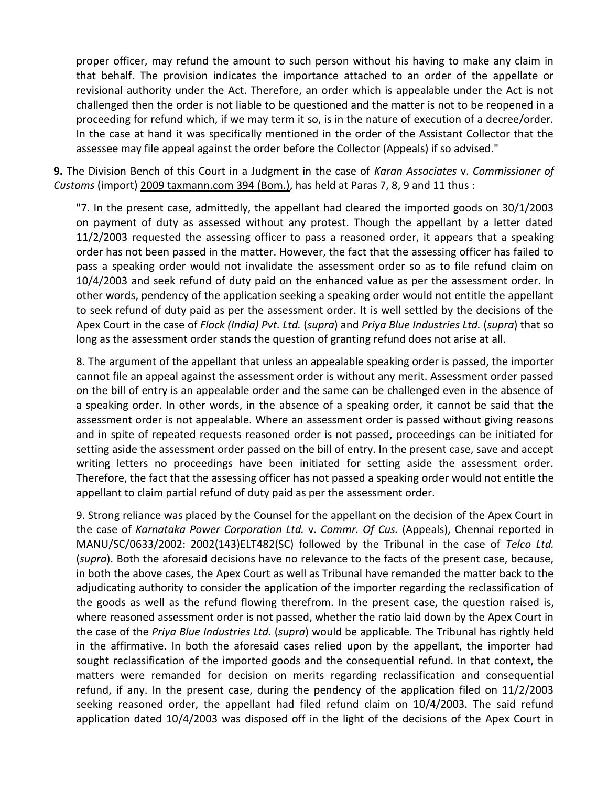proper officer, may refund the amount to such person without his having to make any claim in that behalf. The provision indicates the importance attached to an order of the appellate or revisional authority under the Act. Therefore, an order which is appealable under the Act is not challenged then the order is not liable to be questioned and the matter is not to be reopened in a proceeding for refund which, if we may term it so, is in the nature of execution of a decree/order. In the case at hand it was specifically mentioned in the order of the Assistant Collector that the assessee may file appeal against the order before the Collector (Appeals) if so advised."

**9.** The Division Bench of this Court in a Judgment in the case of *Karan Associates* v. *Commissioner of Customs* (import) 2009 taxmann.com 394 (Bom.), has held at Paras 7, 8, 9 and 11 thus :

"7. In the present case, admittedly, the appellant had cleared the imported goods on 30/1/2003 on payment of duty as assessed without any protest. Though the appellant by a letter dated 11/2/2003 requested the assessing officer to pass a reasoned order, it appears that a speaking order has not been passed in the matter. However, the fact that the assessing officer has failed to pass a speaking order would not invalidate the assessment order so as to file refund claim on 10/4/2003 and seek refund of duty paid on the enhanced value as per the assessment order. In other words, pendency of the application seeking a speaking order would not entitle the appellant to seek refund of duty paid as per the assessment order. It is well settled by the decisions of the Apex Court in the case of *Flock (India) Pvt. Ltd.* (*supra*) and *Priya Blue Industries Ltd.* (*supra*) that so long as the assessment order stands the question of granting refund does not arise at all.

8. The argument of the appellant that unless an appealable speaking order is passed, the importer cannot file an appeal against the assessment order is without any merit. Assessment order passed on the bill of entry is an appealable order and the same can be challenged even in the absence of a speaking order. In other words, in the absence of a speaking order, it cannot be said that the assessment order is not appealable. Where an assessment order is passed without giving reasons and in spite of repeated requests reasoned order is not passed, proceedings can be initiated for setting aside the assessment order passed on the bill of entry. In the present case, save and accept writing letters no proceedings have been initiated for setting aside the assessment order. Therefore, the fact that the assessing officer has not passed a speaking order would not entitle the appellant to claim partial refund of duty paid as per the assessment order.

9. Strong reliance was placed by the Counsel for the appellant on the decision of the Apex Court in the case of *Karnataka Power Corporation Ltd.* v. *Commr. Of Cus.* (Appeals), Chennai reported in MANU/SC/0633/2002: 2002(143)ELT482(SC) followed by the Tribunal in the case of *Telco Ltd.* (*supra*). Both the aforesaid decisions have no relevance to the facts of the present case, because, in both the above cases, the Apex Court as well as Tribunal have remanded the matter back to the adjudicating authority to consider the application of the importer regarding the reclassification of the goods as well as the refund flowing therefrom. In the present case, the question raised is, where reasoned assessment order is not passed, whether the ratio laid down by the Apex Court in the case of the *Priya Blue Industries Ltd.* (*supra*) would be applicable. The Tribunal has rightly held in the affirmative. In both the aforesaid cases relied upon by the appellant, the importer had sought reclassification of the imported goods and the consequential refund. In that context, the matters were remanded for decision on merits regarding reclassification and consequential refund, if any. In the present case, during the pendency of the application filed on 11/2/2003 seeking reasoned order, the appellant had filed refund claim on 10/4/2003. The said refund application dated 10/4/2003 was disposed off in the light of the decisions of the Apex Court in